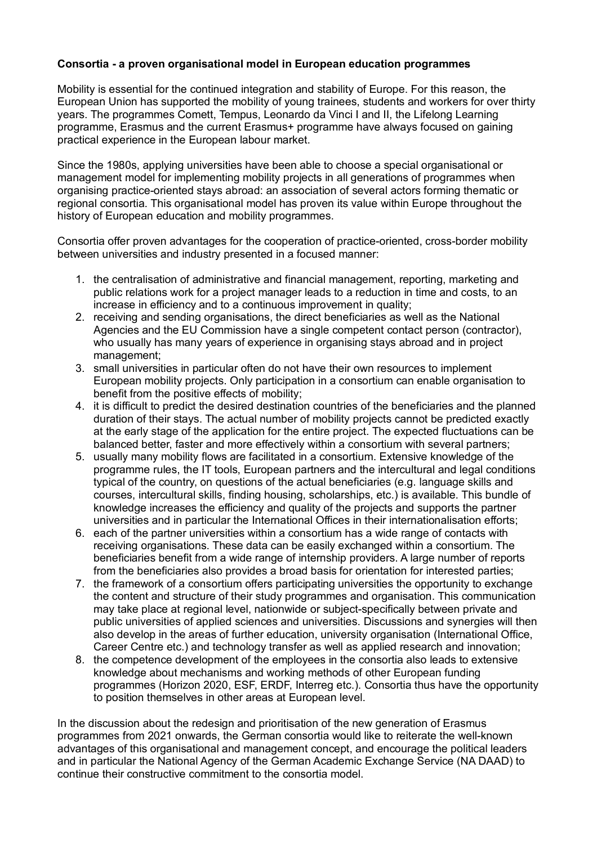## **Consortia - a proven organisational model in European education programmes**

Mobility is essential for the continued integration and stability of Europe. For this reason, the European Union has supported the mobility of young trainees, students and workers for over thirty years. The programmes Comett, Tempus, Leonardo da Vinci I and II, the Lifelong Learning programme, Erasmus and the current Erasmus+ programme have always focused on gaining practical experience in the European labour market.

Since the 1980s, applying universities have been able to choose a special organisational or management model for implementing mobility projects in all generations of programmes when organising practice-oriented stays abroad: an association of several actors forming thematic or regional consortia. This organisational model has proven its value within Europe throughout the history of European education and mobility programmes.

Consortia offer proven advantages for the cooperation of practice-oriented, cross-border mobility between universities and industry presented in a focused manner:

- 1. the centralisation of administrative and financial management, reporting, marketing and public relations work for a project manager leads to a reduction in time and costs, to an increase in efficiency and to a continuous improvement in quality;
- 2. receiving and sending organisations, the direct beneficiaries as well as the National Agencies and the EU Commission have a single competent contact person (contractor), who usually has many years of experience in organising stays abroad and in project management;
- 3. small universities in particular often do not have their own resources to implement European mobility projects. Only participation in a consortium can enable organisation to benefit from the positive effects of mobility;
- 4. it is difficult to predict the desired destination countries of the beneficiaries and the planned duration of their stays. The actual number of mobility projects cannot be predicted exactly at the early stage of the application for the entire project. The expected fluctuations can be balanced better, faster and more effectively within a consortium with several partners;
- 5. usually many mobility flows are facilitated in a consortium. Extensive knowledge of the programme rules, the IT tools, European partners and the intercultural and legal conditions typical of the country, on questions of the actual beneficiaries (e.g. language skills and courses, intercultural skills, finding housing, scholarships, etc.) is available. This bundle of knowledge increases the efficiency and quality of the projects and supports the partner universities and in particular the International Offices in their internationalisation efforts;
- 6. each of the partner universities within a consortium has a wide range of contacts with receiving organisations. These data can be easily exchanged within a consortium. The beneficiaries benefit from a wide range of internship providers. A large number of reports from the beneficiaries also provides a broad basis for orientation for interested parties;
- 7. the framework of a consortium offers participating universities the opportunity to exchange the content and structure of their study programmes and organisation. This communication may take place at regional level, nationwide or subject-specifically between private and public universities of applied sciences and universities. Discussions and synergies will then also develop in the areas of further education, university organisation (International Office, Career Centre etc.) and technology transfer as well as applied research and innovation;
- 8. the competence development of the employees in the consortia also leads to extensive knowledge about mechanisms and working methods of other European funding programmes (Horizon 2020, ESF, ERDF, Interreg etc.). Consortia thus have the opportunity to position themselves in other areas at European level.

In the discussion about the redesign and prioritisation of the new generation of Erasmus programmes from 2021 onwards, the German consortia would like to reiterate the well-known advantages of this organisational and management concept, and encourage the political leaders and in particular the National Agency of the German Academic Exchange Service (NA DAAD) to continue their constructive commitment to the consortia model.